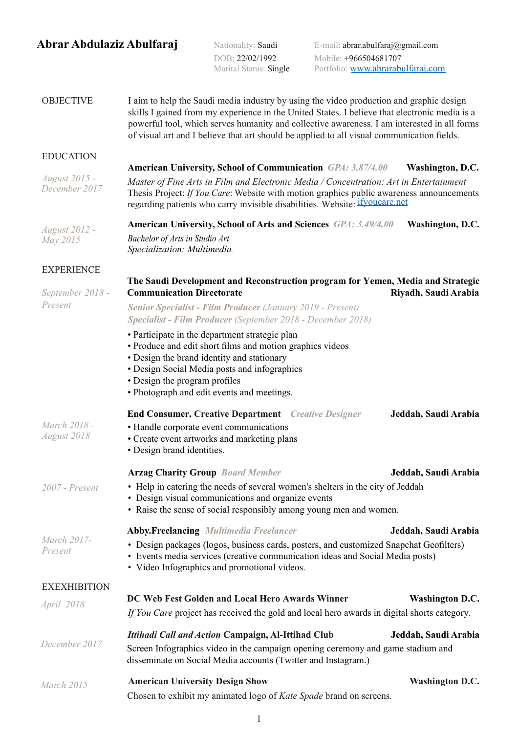## **Abrar Abdulaziz Abulfaraj** Nationality: Saudi E-mail: abrar.abulfaraj@gmail.com

DOB: 22/02/1992 Mobile: +966504681707<br>Marital Status: Single Portfolio: www.abrarabi Portfolio: www.abrarabulfaraj.com

## **OBJECTIVE** I aim to help the Saudi media industry by using the video production and graphic design skills I gained from my experience in the United States. I believe that electronic media is a powerful tool, which serves humanity and collective awareness. I am interested in all forms of visual art and I believe that art should be applied to all visual communication fields.

| <b>EDUCATION</b> |
|------------------|
|------------------|

## **American University, School of Communication** *GPA: 3.87/4.00* **Washington, D.C.**

*August 2015 - December 2017 Master of Fine Arts in Film and Electronic Media / Concentration: Art in Entertainment*  Thesis Project: *If You Care*: Website with motion graphics public awareness announcements regarding patients who carry invisible disabilities. Website: ifyoucare.net

*August 2012 -*  **American University, School of Arts and Sciences** *GPA: 3.49/4.00* **Washington, D.C.**

> *Bachelor of Arts in Studio Art Specialization: Multimedia.*

## **EXPERIENCE**

*May 2015* 

| September 2018 -            | The Saudi Development and Reconstruction program for Yemen, Media and Strategic<br><b>Communication Directorate</b>                                                                                                                                                                      | Riyadh, Saudi Arabia   |  |
|-----------------------------|------------------------------------------------------------------------------------------------------------------------------------------------------------------------------------------------------------------------------------------------------------------------------------------|------------------------|--|
| Present                     | <b>Senior Specialist - Film Producer (January 2019 - Present)</b><br>Specialist - Film Producer (September 2018 - December 2018)                                                                                                                                                         |                        |  |
|                             | • Participate in the department strategic plan<br>• Produce and edit short films and motion graphics videos<br>• Design the brand identity and stationary<br>• Design Social Media posts and infographics<br>• Design the program profiles<br>• Photograph and edit events and meetings. |                        |  |
| March 2018 -<br>August 2018 | <b>End Consumer, Creative Department</b> Creative Designer<br>• Handle corporate event communications<br>• Create event artworks and marketing plans<br>• Design brand identities.                                                                                                       | Jeddah, Saudi Arabia   |  |
|                             | <b>Arzag Charity Group</b> Board Member                                                                                                                                                                                                                                                  | Jeddah, Saudi Arabia   |  |
| 2007 - Present              | • Help in catering the needs of several women's shelters in the city of Jeddah<br>• Design visual communications and organize events<br>• Raise the sense of social responsibly among young men and women.                                                                               |                        |  |
|                             | <b>Abby.Freelancing Multimedia Freelancer</b>                                                                                                                                                                                                                                            | Jeddah, Saudi Arabia   |  |
| March 2017-<br>Present      | • Design packages (logos, business cards, posters, and customized Snapchat Geofilters)<br>• Events media services (creative communication ideas and Social Media posts)<br>• Video Infographics and promotional videos.                                                                  |                        |  |
| <b>EXEXHIBITION</b>         |                                                                                                                                                                                                                                                                                          |                        |  |
| April 2018                  | DC Web Fest Golden and Local Hero Awards Winner<br>If You Care project has received the gold and local hero awards in digital shorts category.                                                                                                                                           | <b>Washington D.C.</b> |  |
|                             |                                                                                                                                                                                                                                                                                          |                        |  |
| December 2017               | <b>Ittihadi Call and Action Campaign, Al-Ittihad Club</b><br>Jeddah, Saudi Arabia<br>Screen Infographics video in the campaign opening ceremony and game stadium and<br>disseminate on Social Media accounts (Twitter and Instagram.)                                                    |                        |  |
| March 2015                  | <b>American University Design Show</b>                                                                                                                                                                                                                                                   | <b>Washington D.C.</b> |  |
|                             | Chosen to exhibit my animated logo of Kate Spade brand on screens.                                                                                                                                                                                                                       |                        |  |